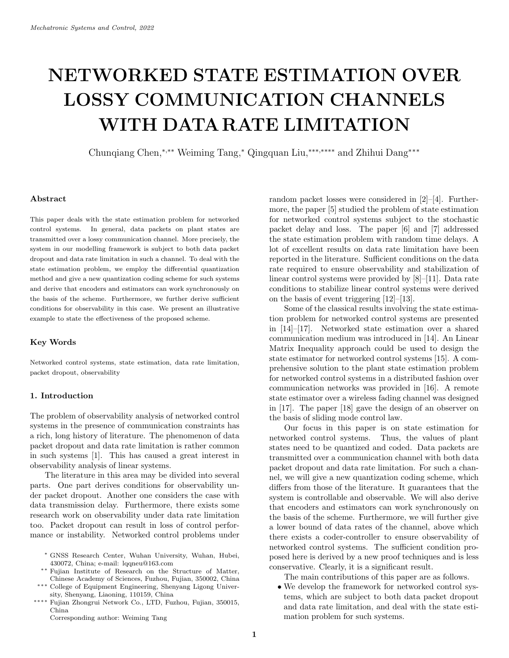# **NETWORKED STATE ESTIMATION OVER LOSSY COMMUNICATION CHANNELS WITH DATARATE LIMITATION**

Chunqiang Chen,∗*,*∗∗ Weiming Tang,<sup>∗</sup> Qingquan Liu,∗∗∗*,*∗∗∗∗ and Zhihui Dang∗∗∗

#### **Abstract**

This paper deals with the state estimation problem for networked control systems. In general, data packets on plant states are transmitted over a lossy communication channel. More precisely, the system in our modelling framework is subject to both data packet dropout and data rate limitation in such a channel. To deal with the state estimation problem, we employ the differential quantization method and give a new quantization coding scheme for such systems and derive that encoders and estimators can work synchronously on the basis of the scheme. Furthermore, we further derive sufficient conditions for observability in this case. We present an illustrative example to state the effectiveness of the proposed scheme.

## **Key Words**

Networked control systems, state estimation, data rate limitation, packet dropout, observability

## **1. Introduction**

The problem of observability analysis of networked control systems in the presence of communication constraints has a rich, long history of literature. The phenomenon of data packet dropout and data rate limitation is rather common in such systems [1]. This has caused a great interest in observability analysis of linear systems.

The literature in this area may be divided into several parts. One part derives conditions for observability under packet dropout. Another one considers the case with data transmission delay. Furthermore, there exists some research work on observability under data rate limitation too. Packet dropout can result in loss of control performance or instability. Networked control problems under

- ∗ GNSS Research Center, Wuhan University, Wuhan, Hubei, 430072, China; e-mail: lqqneu@163.com
- ∗∗ Fujian Institute of Research on the Structure of Matter, Chinese Academy of Sciences, Fuzhou, Fujian, 350002, China
- ∗∗∗ College of Equipment Engineering, Shenyang Ligong University, Shenyang, Liaoning, 110159, China
- ∗∗∗∗ Fujian Zhongrui Network Co., LTD, Fuzhou, Fujian, 350015, China

Corresponding author: Weiming Tang

random packet losses were considered in [2]–[4]. Furthermore, the paper [5] studied the problem of state estimation for networked control systems subject to the stochastic packet delay and loss. The paper [6] and [7] addressed the state estimation problem with random time delays. A lot of excellent results on data rate limitation have been reported in the literature. Sufficient conditions on the data rate required to ensure observability and stabilization of linear control systems were provided by [8]–[11]. Data rate conditions to stabilize linear control systems were derived on the basis of event triggering [12]–[13].

Some of the classical results involving the state estimation problem for networked control systems are presented in [14]–[17]. Networked state estimation over a shared communication medium was introduced in [14]. An Linear Matrix Inequality approach could be used to design the state estimator for networked control systems [15]. A comprehensive solution to the plant state estimation problem for networked control systems in a distributed fashion over communication networks was provided in [16]. A remote state estimator over a wireless fading channel was designed in [17]. The paper [18] gave the design of an observer on the basis of sliding mode control law.

Our focus in this paper is on state estimation for networked control systems. Thus, the values of plant states need to be quantized and coded. Data packets are transmitted over a communication channel with both data packet dropout and data rate limitation. For such a channel, we will give a new quantization coding scheme, which differs from those of the literature. It guarantees that the system is controllable and observable. We will also derive that encoders and estimators can work synchronously on the basis of the scheme. Furthermore, we will further give a lower bound of data rates of the channel, above which there exists a coder-controller to ensure observability of networked control systems. The sufficient condition proposed here is derived by a new proof techniques and is less conservative. Clearly, it is a significant result.

The main contributions of this paper are as follows.

• We develop the framework for networked control systems, which are subject to both data packet dropout and data rate limitation, and deal with the state estimation problem for such systems.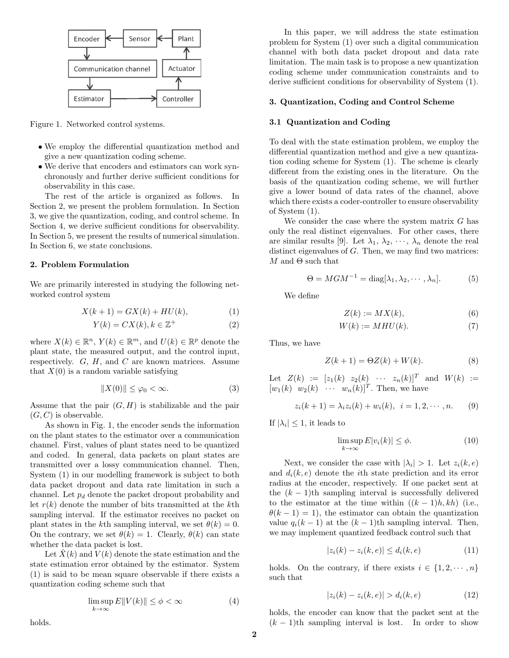

Figure 1. Networked control systems.

- We employ the differential quantization method and give a new quantization coding scheme.
- We derive that encoders and estimators can work synchronously and further derive sufficient conditions for observability in this case.

The rest of the article is organized as follows. In Section 2, we present the problem formulation. In Section 3, we give the quantization, coding, and control scheme. In Section 4, we derive sufficient conditions for observability. In Section 5, we present the results of numerical simulation. In Section 6, we state conclusions.

## **2. Problem Formulation**

We are primarily interested in studying the following networked control system

$$
X(k+1) = GX(k) + HU(k),\tag{1}
$$

$$
Y(k) = CX(k), k \in \mathbb{Z}^+\tag{2}
$$

where  $X(k) \in \mathbb{R}^n$ ,  $Y(k) \in \mathbb{R}^m$ , and  $U(k) \in \mathbb{R}^p$  denote the plant state, the measured output, and the control input, respectively.  $G, H$ , and  $C$  are known matrices. Assume that  $X(0)$  is a random variable satisfying

$$
||X(0)|| \le \varphi_0 < \infty. \tag{3}
$$

Assume that the pair  $(G, H)$  is stabilizable and the pair  $(G, C)$  is observable.

As shown in Fig. 1, the encoder sends the information on the plant states to the estimator over a communication channel. First, values of plant states need to be quantized and coded. In general, data packets on plant states are transmitted over a lossy communication channel. Then, System (1) in our modelling framework is subject to both data packet dropout and data rate limitation in such a channel. Let  $p_d$  denote the packet dropout probability and let  $r(k)$  denote the number of bits transmitted at the kth sampling interval. If the estimator receives no packet on plant states in the kth sampling interval, we set  $\theta(k) = 0$ . On the contrary, we set  $\theta(k) = 1$ . Clearly,  $\theta(k)$  can state whether the data packet is lost.

Let  $X(k)$  and  $V(k)$  denote the state estimation and the state estimation error obtained by the estimator. System (1) is said to be mean square observable if there exists a quantization coding scheme such that

$$
\limsup_{k \to \infty} E||V(k)|| \le \phi < \infty \tag{4}
$$

In this paper, we will address the state estimation problem for System (1) over such a digital communication channel with both data packet dropout and data rate limitation. The main task is to propose a new quantization coding scheme under communication constraints and to derive sufficient conditions for observability of System (1).

#### **3. Quantization, Coding and Control Scheme**

## **3.1 Quantization and Coding**

To deal with the state estimation problem, we employ the differential quantization method and give a new quantization coding scheme for System (1). The scheme is clearly different from the existing ones in the literature. On the basis of the quantization coding scheme, we will further give a lower bound of data rates of the channel, above which there exists a coder-controller to ensure observability of System (1).

We consider the case where the system matrix  $G$  has only the real distinct eigenvalues. For other cases, there are similar results [9]. Let  $\lambda_1, \lambda_2, \cdots, \lambda_n$  denote the real distinct eigenvalues of  $G$ . Then, we may find two matrices: M and  $\Theta$  such that

$$
\Theta = MGM^{-1} = \text{diag}[\lambda_1, \lambda_2, \cdots, \lambda_n].
$$
 (5)

We define

$$
Z(k) := MX(k),\tag{6}
$$

$$
W(k) := MHU(k). \tag{7}
$$

Thus, we have

$$
Z(k+1) = \Theta Z(k) + W(k). \tag{8}
$$

Let  $Z(k) := [z_1(k) \ z_2(k) \ \cdots \ z_n(k)]^T$  and  $W(k) :=$  $[w_1(k) \quad w_2(k) \quad \cdots \quad w_n(k)]^T$ . Then, we have

$$
z_i(k+1) = \lambda_i z_i(k) + w_i(k), \quad i = 1, 2, \cdots, n. \tag{9}
$$

If  $|\lambda_i| \leq 1$ , it leads to

$$
\limsup_{k \to \infty} E|v_i(k)| \le \phi. \tag{10}
$$

Next, we consider the case with  $|\lambda_i| > 1$ . Let  $z_i(k, e)$ and  $d_i(k, e)$  denote the *i*th state prediction and its error radius at the encoder, respectively. If one packet sent at the  $(k-1)$ th sampling interval is successfully delivered to the estimator at the time within  $((k-1)h, kh)$  (i.e.,  $\theta(k-1) = 1$ , the estimator can obtain the quantization value  $q_i(k-1)$  at the  $(k-1)$ th sampling interval. Then, we may implement quantized feedback control such that

$$
|z_i(k) - z_i(k, e)| \le d_i(k, e)
$$
 (11)

holds. On the contrary, if there exists  $i \in \{1, 2, \dots, n\}$ such that

$$
|z_i(k) - z_i(k, e)| > d_i(k, e)
$$
 (12)

holds, the encoder can know that the packet sent at the  $(k-1)$ th sampling interval is lost. In order to show

holds.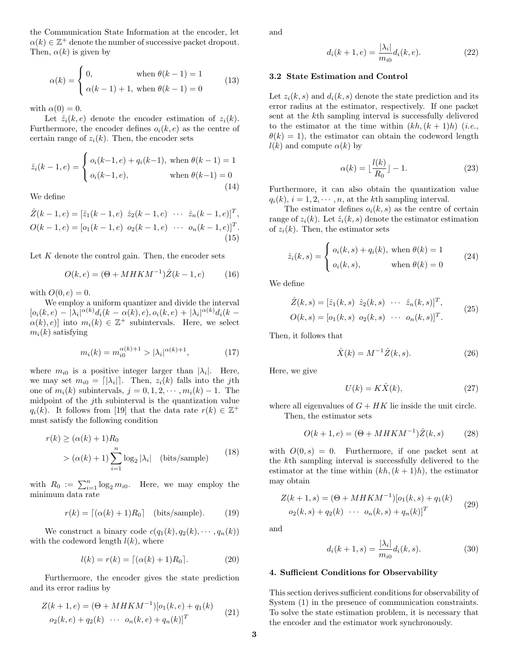the Communication State Information at the encoder, let  $\alpha(k) \in \mathbb{Z}^+$  denote the number of successive packet dropout. Then,  $\alpha(k)$  is given by

$$
\alpha(k) = \begin{cases} 0, & \text{when } \theta(k-1) = 1 \\ \alpha(k-1) + 1, & \text{when } \theta(k-1) = 0 \end{cases} \tag{13}
$$

with  $\alpha(0) = 0$ .

Let  $\hat{z}_i(k, e)$  denote the encoder estimation of  $z_i(k)$ . Furthermore, the encoder defines  $o_i(k, e)$  as the centre of certain range of  $z_i(k)$ . Then, the encoder sets

$$
\hat{z}_i(k-1, e) = \begin{cases} o_i(k-1, e) + q_i(k-1), \text{ when } \theta(k-1) = 1\\ o_i(k-1, e), \text{ when } \theta(k-1) = 0 \end{cases}
$$
\n(14)

We define

$$
\hat{Z}(k-1, e) = [\hat{z}_1(k-1, e) \ \hat{z}_2(k-1, e) \ \cdots \ \hat{z}_n(k-1, e)]^T,
$$
  
\n
$$
O(k-1, e) = [o_1(k-1, e) \ o_2(k-1, e) \ \cdots \ o_n(k-1, e)]^T.
$$
\n(15)

Let  $K$  denote the control gain. Then, the encoder sets

$$
O(k, e) = (\Theta + MHKM^{-1})\hat{Z}(k - 1, e)
$$
 (16)

with  $O(0, e) = 0$ .

We employ a uniform quantizer and divide the interval  $[o_i(k, e) - \lvert \lambda_i \rvert^{\alpha(k)} d_i(k - \alpha(k), e), o_i(k, e) + \lvert \lambda_i \rvert^{\alpha(k)} d_i(k - \lvert \lambda_i \rvert^{\alpha(k)})$  $\alpha(k), e$ ] into  $m_i(k) \in \mathbb{Z}^+$  subintervals. Here, we select  $m_i(k)$  satisfying

$$
m_i(k) = m_{i0}^{\alpha(k)+1} > |\lambda_i|^{\alpha(k)+1}, \tag{17}
$$

where  $m_{i0}$  is a positive integer larger than  $|\lambda_i|$ . Here, we may set  $m_{i0} = \lfloor |\lambda_i| \rfloor$ . Then,  $z_i(k)$  falls into the jth one of  $m_i(k)$  subintervals,  $j = 0, 1, 2, \cdots, m_i(k) - 1$ . The midpoint of the jth subinterval is the quantization value  $q_i(k)$ . It follows from [19] that the data rate  $r(k) \in \mathbb{Z}^+$ must satisfy the following condition

$$
r(k) \ge (\alpha(k) + 1)R_0
$$
  
>  $(\alpha(k) + 1) \sum_{i=1}^{n} \log_2 |\lambda_i|$  (bits/sample) (18)

with  $R_0 := \sum_{i=1}^n \log_2 m_{i0}$ . Here, we may employ the minimum data rate

$$
r(k) = \lceil (\alpha(k) + 1)R_0 \rceil
$$
 (bits/sample). (19)

We construct a binary code  $c(q_1(k), q_2(k), \cdots, q_n(k))$ with the codeword length  $l(k)$ , where

$$
l(k) = r(k) = \lceil (\alpha(k) + 1)R_0 \rceil.
$$
 (20)

Furthermore, the encoder gives the state prediction and its error radius by

$$
Z(k+1, e) = (\Theta + MHKM^{-1})[o_1(k, e) + q_1(k)
$$
  

$$
o_2(k, e) + q_2(k) \cdots o_n(k, e) + q_n(k)]^T
$$
 (21)

and

$$
d_i(k+1, e) = \frac{|\lambda_i|}{m_{i0}} d_i(k, e).
$$
 (22)

#### **3.2 State Estimation and Control**

Let  $z_i(k, s)$  and  $d_i(k, s)$  denote the state prediction and its error radius at the estimator, respectively. If one packet sent at the kth sampling interval is successfully delivered to the estimator at the time within  $(kh,(k+1)h)$  (*i.e.*,  $\theta(k) = 1$ , the estimator can obtain the codeword length  $l(k)$  and compute  $\alpha(k)$  by

$$
\alpha(k) = \lfloor \frac{l(k)}{R_0} \rfloor - 1. \tag{23}
$$

Furthermore, it can also obtain the quantization value  $q_i(k), i = 1, 2, \dots, n$ , at the kth sampling interval.

The estimator defines  $o_i(k, s)$  as the centre of certain range of  $z_i(k)$ . Let  $\hat{z}_i(k, s)$  denote the estimator estimation of  $z_i(k)$ . Then, the estimator sets

$$
\hat{z}_i(k,s) = \begin{cases} o_i(k,s) + q_i(k), \text{ when } \theta(k) = 1\\ o_i(k,s), \text{ when } \theta(k) = 0 \end{cases}
$$
 (24)

We define

$$
\hat{Z}(k,s) = [\hat{z}_1(k,s) \ \hat{z}_2(k,s) \ \cdots \ \hat{z}_n(k,s)]^T, \nO(k,s) = [o_1(k,s) \ o_2(k,s) \ \cdots \ o_n(k,s)]^T.
$$
\n(25)

Then, it follows that

$$
\hat{X}(k) = M^{-1}\hat{Z}(k, s).
$$
 (26)

Here, we give

$$
U(k) = K\hat{X}(k),\tag{27}
$$

where all eigenvalues of  $G + HK$  lie inside the unit circle. Then, the estimator sets

$$
O(k+1, e) = (\Theta + MHKM^{-1})\hat{Z}(k, s)
$$
 (28)

with  $O(0, s) = 0$ . Furthermore, if one packet sent at the kth sampling interval is successfully delivered to the estimator at the time within  $(kh, (k+1)h)$ , the estimator may obtain

$$
Z(k+1,s) = (\Theta + MHKM^{-1})[o_1(k,s) + q_1(k) o_2(k,s) + q_2(k) \cdots o_n(k,s) + q_n(k)]^T
$$
 (29)

and

$$
d_i(k+1, s) = \frac{|\lambda_i|}{m_{i0}} d_i(k, s).
$$
 (30)

# **4. Sufficient Conditions for Observability**

This section derives sufficient conditions for observability of System (1) in the presence of communication constraints. To solve the state estimation problem, it is necessary that the encoder and the estimator work synchronously.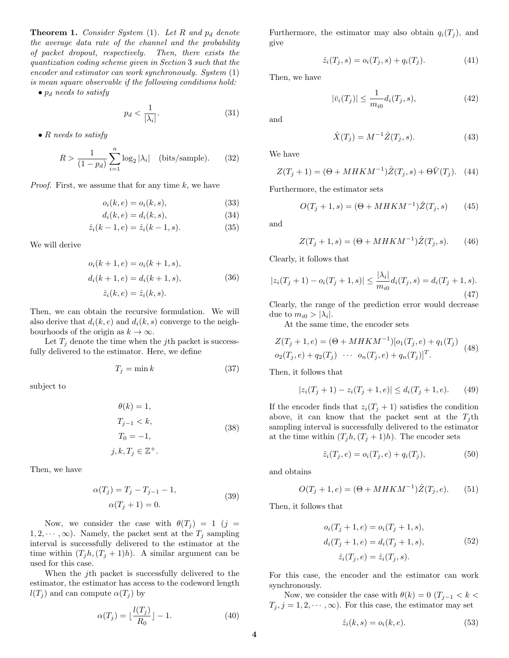**Theorem 1.** *Consider System* (1)*. Let*  $R$  *and*  $p_d$  *denote the average data rate of the channel and the probability of packet dropout, respectively. Then, there exists the quantization coding scheme given in Section* 3 *such that the encoder and estimator can work synchronously. System* (1) *is mean square observable if the following conditions hold:*

• p<sup>d</sup> *needs to satisfy*

$$
p_d < \frac{1}{|\lambda_i|}.\tag{31}
$$

• R *needs to satisfy*

$$
R > \frac{1}{(1 - p_d)} \sum_{i=1}^{n} \log_2 |\lambda_i| \quad \text{(bits/sample)}.\tag{32}
$$

*Proof.* First, we assume that for any time k, we have

$$
o_i(k, e) = o_i(k, s), \tag{33}
$$

$$
d_i(k, e) = d_i(k, s), \tag{34}
$$

$$
\hat{z}_i(k-1, e) = \hat{z}_i(k-1, s). \tag{35}
$$

We will derive

$$
o_i(k + 1, e) = o_i(k + 1, s),
$$
  
\n
$$
d_i(k + 1, e) = d_i(k + 1, s),
$$
  
\n
$$
\hat{z}_i(k, e) = \hat{z}_i(k, s).
$$
\n(36)

Then, we can obtain the recursive formulation. We will also derive that  $d_i(k, e)$  and  $d_i(k, s)$  converge to the neighbourhoods of the origin as  $k \to \infty$ .

Let  $T_i$  denote the time when the jth packet is successfully delivered to the estimator. Here, we define

$$
T_j = \min k \tag{37}
$$

subject to

$$
\theta(k) = 1,
$$
  
\n
$$
T_{j-1} < k,
$$
  
\n
$$
T_0 = -1,
$$
  
\n
$$
j, k, T_j \in \mathbb{Z}^+.
$$
\n(38)

Then, we have

$$
\alpha(T_j) = T_j - T_{j-1} - 1,
$$
  
\n
$$
\alpha(T_j + 1) = 0.
$$
\n(39)

Now, we consider the case with  $\theta(T_j) = 1$  (j =  $1, 2, \dots, \infty$ . Namely, the packet sent at the  $T_j$  sampling interval is successfully delivered to the estimator at the time within  $(T_i h, (T_i + 1)h)$ . A similar argument can be used for this case.

When the *j*th packet is successfully delivered to the estimator, the estimator has access to the codeword length  $l(T_i)$  and can compute  $\alpha(T_i)$  by

$$
\alpha(T_j) = \lfloor \frac{l(T_j)}{R_0} \rfloor - 1. \tag{40}
$$

Furthermore, the estimator may also obtain  $q_i(T_i)$ , and give

$$
\hat{z}_i(T_j, s) = o_i(T_j, s) + q_i(T_j). \tag{41}
$$

Then, we have

$$
|\bar{v}_i(T_j)| \le \frac{1}{m_{i0}} d_i(T_j, s),
$$
\n(42)

and

$$
\hat{X}(T_j) = M^{-1}\hat{Z}(T_j, s).
$$
\n(43)

We have

$$
Z(T_j + 1) = (\Theta + MHKM^{-1})\hat{Z}(T_j, s) + \Theta \bar{V}(T_j). \tag{44}
$$

Furthermore, the estimator sets

$$
O(T_j + 1, s) = (\Theta + MHKM^{-1})\hat{Z}(T_j, s)
$$
 (45)

and

$$
Z(T_j + 1, s) = (\Theta + MHKM^{-1})\hat{Z}(T_j, s). \tag{46}
$$

Clearly, it follows that

$$
|z_i(T_j+1) - o_i(T_j+1, s)| \le \frac{|\lambda_i|}{m_{i0}} d_i(T_j, s) = d_i(T_j+1, s).
$$
\n(47)

Clearly, the range of the prediction error would decrease due to  $m_{i0} > |\lambda_i|$ .

At the same time, the encoder sets

$$
Z(T_j + 1, e) = (\Theta + MHKM^{-1})[o_1(T_j, e) + q_1(T_j) o_2(T_j, e) + q_2(T_j) \cdots o_n(T_j, e) + q_n(T_j)]^T.
$$
 (48)

Then, it follows that

$$
|z_i(T_j + 1) - z_i(T_j + 1, e)| \le d_i(T_j + 1, e). \tag{49}
$$

If the encoder finds that  $z_i(T_i + 1)$  satisfies the condition above, it can know that the packet sent at the  $T_i$ th sampling interval is successfully delivered to the estimator at the time within  $(T_i h, (T_i + 1)h)$ . The encoder sets

$$
\hat{z}_i(T_j, e) = o_i(T_j, e) + q_i(T_j), \tag{50}
$$

and obtains

$$
O(T_j + 1, e) = (\Theta + MHKM^{-1})\hat{Z}(T_j, e). \tag{51}
$$

Then, it follows that

$$
o_i(T_j + 1, e) = o_i(T_j + 1, s),
$$
  
\n
$$
d_i(T_j + 1, e) = d_i(T_j + 1, s),
$$
  
\n
$$
\hat{z}_i(T_j, e) = \hat{z}_i(T_j, s).
$$
\n(52)

For this case, the encoder and the estimator can work synchronously.

Now, we consider the case with  $\theta(k)=0$  (T<sub>j−1</sub> < k <  $T_j$ ,  $j = 1, 2, \dots, \infty$ . For this case, the estimator may set

$$
\hat{z}_i(k,s) = o_i(k,e). \tag{53}
$$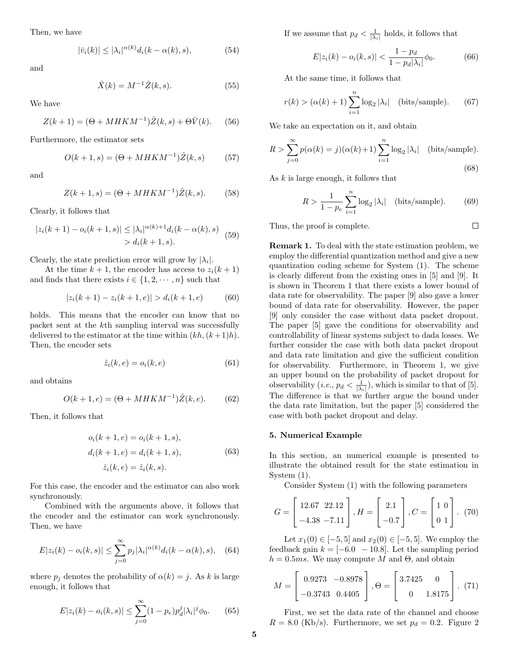Then, we have

$$
|\bar{v}_i(k)| \le |\lambda_i|^{\alpha(k)} d_i(k - \alpha(k), s), \tag{54}
$$

and

$$
\hat{X}(k) = M^{-1}\hat{Z}(k, s).
$$
 (55)

We have

$$
Z(k+1) = (\Theta + MHKM^{-1})\hat{Z}(k,s) + \Theta \bar{V}(k).
$$
 (56)

Furthermore, the estimator sets

$$
O(k+1, s) = (\Theta + MHKM^{-1})\hat{Z}(k, s)
$$
 (57)

and

$$
Z(k+1, s) = (\Theta + MHKM^{-1})\hat{Z}(k, s).
$$
 (58)

Clearly, it follows that

$$
|z_i(k+1) - o_i(k+1, s)| \le |\lambda_i|^{\alpha(k)+1} d_i(k - \alpha(k), s)
$$
  
>  $d_i(k+1, s).$  (59)

Clearly, the state prediction error will grow by  $|\lambda_i|$ .

At the time  $k + 1$ , the encoder has access to  $z_i(k + 1)$ and finds that there exists  $i \in \{1, 2, \dots, n\}$  such that

$$
|z_i(k+1) - z_i(k+1, e)| > d_i(k+1, e)
$$
 (60)

holds. This means that the encoder can know that no packet sent at the kth sampling interval was successfully delivered to the estimator at the time within  $(kh,(k+1)h)$ . Then, the encoder sets

$$
\hat{z}_i(k,e) = o_i(k,e) \tag{61}
$$

and obtains

$$
O(k+1, e) = (\Theta + MHKM^{-1})\hat{Z}(k, e). \tag{62}
$$

Then, it follows that

$$
o_i(k + 1, e) = o_i(k + 1, s),
$$
  
\n
$$
d_i(k + 1, e) = d_i(k + 1, s),
$$
  
\n
$$
\hat{z}_i(k, e) = \hat{z}_i(k, s).
$$
\n(63)

For this case, the encoder and the estimator can also work synchronously.

Combined with the arguments above, it follows that the encoder and the estimator can work synchronously. Then, we have

$$
E|z_i(k) - o_i(k,s)| \le \sum_{j=0}^{\infty} p_j |\lambda_i|^{\alpha(k)} d_i(k - \alpha(k),s), \quad (64)
$$

where  $p_j$  denotes the probability of  $\alpha(k) = j$ . As k is large enough, it follows that

$$
E|z_i(k) - o_i(k, s)| \le \sum_{j=0}^{\infty} (1 - p_e) p_d^j |\lambda_i|^j \phi_0.
$$
 (65)

If we assume that  $p_d < \frac{1}{|\lambda_i|}$  holds, it follows that

$$
E|z_i(k) - o_i(k, s)| < \frac{1 - p_d}{1 - p_d|\lambda_i|} \phi_0. \tag{66}
$$

At the same time, it follows that

$$
r(k) > (\alpha(k) + 1) \sum_{i=1}^{n} \log_2 |\lambda_i| \quad \text{(bits/sample)}.\tag{67}
$$

We take an expectation on it, and obtain

$$
R > \sum_{j=0}^{\infty} p(\alpha(k) = j)(\alpha(k) + 1) \sum_{i=1}^{n} \log_2 |\lambda_i| \text{ (bits/sample)}.
$$
\n(68)

As  $k$  is large enough, it follows that

$$
R > \frac{1}{1 - p_e} \sum_{i=1}^{n} \log_2 |\lambda_i| \quad \text{(bits/sample)}.\tag{69}
$$

 $\Box$ 

Thus, the proof is complete.

**Remark 1.** To deal with the state estimation problem, we employ the differential quantization method and give a new quantization coding scheme for System (1). The scheme is clearly different from the existing ones in [5] and [9]. It is shown in Theorem 1 that there exists a lower bound of data rate for observability. The paper [9] also gave a lower bound of data rate for observability. However, the paper [9] only consider the case without data packet dropout. The paper [5] gave the conditions for observability and controllability of linear systems subject to dada losses. We further consider the case with both data packet dropout and data rate limitation and give the sufficient condition for observability. Furthermore, in Theorem 1, we give an upper bound on the probability of packet dropout for observability  $(i.e., p_d < \frac{1}{|\lambda_i|})$ , which is similar to that of [5]. The difference is that we further argue the bound under the data rate limitation, but the paper [5] considered the case with both packet dropout and delay.

#### **5. Numerical Example**

In this section, an numerical example is presented to illustrate the obtained result for the state estimation in System (1).

Consider System (1) with the following parameters

$$
G = \begin{bmatrix} 12.67 & 22.12 \\ -4.38 & -7.11 \end{bmatrix}, H = \begin{bmatrix} 2.1 \\ -0.7 \end{bmatrix}, C = \begin{bmatrix} 1 & 0 \\ 0 & 1 \end{bmatrix}. (70)
$$

Let  $x_1(0) \in [-5, 5]$  and  $x_2(0) \in [-5, 5]$ . We employ the feedback gain  $k = [-6.0 - 10.8]$ . Let the sampling period  $h = 0.5$ ms. We may compute M and  $\Theta$ , and obtain

$$
M = \begin{bmatrix} 0.9273 & -0.8978 \\ -0.3743 & 0.4405 \end{bmatrix}, \Theta = \begin{bmatrix} 3.7425 & 0 \\ 0 & 1.8175 \end{bmatrix}. (71)
$$

First, we set the data rate of the channel and choose  $R = 8.0$  (Kb/s). Furthermore, we set  $p_d = 0.2$ . Figure 2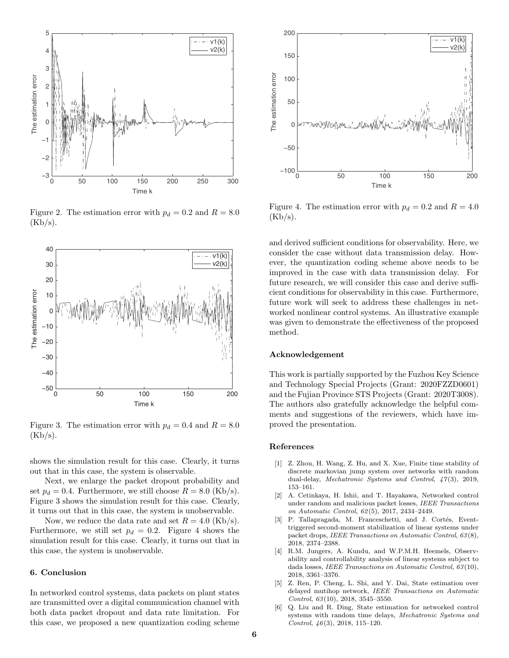

Figure 2. The estimation error with  $p_d = 0.2$  and  $R = 8.0$  $(Kb/s).$ 



Figure 3. The estimation error with  $p_d = 0.4$  and  $R = 8.0$  $(Kb/s).$ 

shows the simulation result for this case. Clearly, it turns out that in this case, the system is observable.

Next, we enlarge the packet dropout probability and set  $p_d = 0.4$ . Furthermore, we still choose  $R = 8.0$  (Kb/s). Figure 3 shows the simulation result for this case. Clearly, it turns out that in this case, the system is unobservable.

Now, we reduce the data rate and set  $R = 4.0$  (Kb/s). Furthermore, we still set  $p_d = 0.2$ . Figure 4 shows the simulation result for this case. Clearly, it turns out that in this case, the system is unobservable.

## **6. Conclusion**

In networked control systems, data packets on plant states are transmitted over a digital communication channel with both data packet dropout and data rate limitation. For this case, we proposed a new quantization coding scheme



Figure 4. The estimation error with  $p_d = 0.2$  and  $R = 4.0$  $(Kb/s).$ 

and derived sufficient conditions for observability. Here, we consider the case without data transmission delay. However, the quantization coding scheme above needs to be improved in the case with data transmission delay. For future research, we will consider this case and derive sufficient conditions for observability in this case. Furthermore, future work will seek to address these challenges in networked nonlinear control systems. An illustrative example was given to demonstrate the effectiveness of the proposed method.

#### **Acknowledgement**

This work is partially supported by the Fuzhou Key Science and Technology Special Projects (Grant: 2020FZZD0601) and the Fujian Province STS Projects (Grant: 2020T3008). The authors also gratefully acknowledge the helpful comments and suggestions of the reviewers, which have improved the presentation.

#### **References**

- [1] Z. Zhou, H. Wang, Z. Hu, and X. Xue, Finite time stability of discrete markovian jump system over networks with random dual-delay, *Mechatronic Systems and Control*, *47*(3), 2019, 153–161.
- [2] A. Cetinkaya, H. Ishii, and T. Hayakawa, Networked control under random and malicious packet losses, *IEEE Transactions on Automatic Control*, *62*(5), 2017, 2434–2449.
- [3] P. Tallapragada, M. Franceschetti, and J. Cortés, Eventtriggered second-moment stabilization of linear systems under packet drops, *IEEE Transactions on Automatic Control*, *63*(8), 2018, 2374–2388.
- [4] R.M. Jungers, A. Kundu, and W.P.M.H. Heemels, Observability and controllability analysis of linear systems subject to dada losses, *IEEE Transactions on Automatic Control*, *63*(10), 2018, 3361–3376.
- [5] Z. Ren, P. Cheng, L. Shi, and Y. Dai, State estimation over delayed mutihop network, *IEEE Transactions on Automatic Control*, *63*(10), 2018, 3545–3550.
- [6] Q. Liu and R. Ding, State estimation for networked control systems with random time delays, *Mechatronic Systems and Control*, *46*(3), 2018, 115–120.